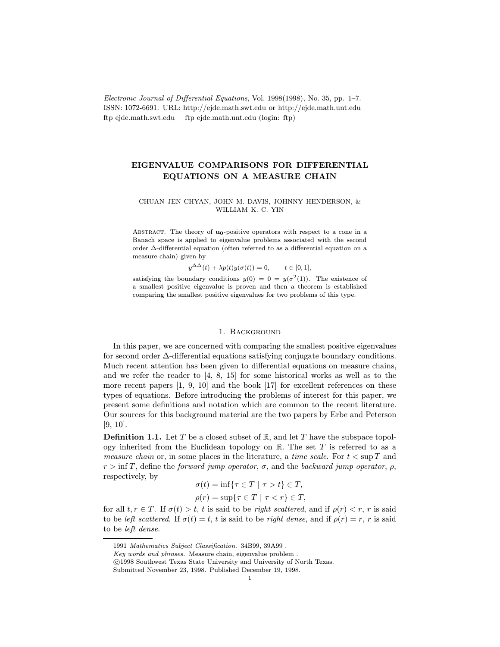Electronic Journal of Differential Equations, Vol. 1998(1998), No. 35, pp. 1–7. ISSN: 1072-6691. URL: http://ejde.math.swt.edu or http://ejde.math.unt.edu ftp ejde.math.swt.edu ftp ejde.math.unt.edu (login: ftp)

# EIGENVALUE COMPARISONS FOR DIFFERENTIAL EQUATIONS ON A MEASURE CHAIN

## CHUAN JEN CHYAN, JOHN M. DAVIS, JOHNNY HENDERSON, & WILLIAM K. C. YIN

ABSTRACT. The theory of  $u_0$ -positive operators with respect to a cone in a Banach space is applied to eigenvalue problems associated with the second order ∆-differential equation (often referred to as a differential equation on a measure chain) given by

 $y^{\Delta\Delta}(t) + \lambda p(t)y(\sigma(t)) = 0, \quad t \in [0, 1],$ 

satisfying the boundary conditions  $y(0) = 0 = y(\sigma^2(1))$ . The existence of a smallest positive eigenvalue is proven and then a theorem is established comparing the smallest positive eigenvalues for two problems of this type.

#### 1. Background

In this paper, we are concerned with comparing the smallest positive eigenvalues for second order ∆-differential equations satisfying conjugate boundary conditions. Much recent attention has been given to differential equations on measure chains, and we refer the reader to [4, 8, 15] for some historical works as well as to the more recent papers [1, 9, 10] and the book [17] for excellent references on these types of equations. Before introducing the problems of interest for this paper, we present some definitions and notation which are common to the recent literature. Our sources for this background material are the two papers by Erbe and Peterson [9, 10].

**Definition 1.1.** Let T be a closed subset of  $\mathbb{R}$ , and let T have the subspace topology inherited from the Euclidean topology on  $\mathbb R$ . The set T is referred to as a *measure chain* or, in some places in the literature, a *time scale*. For  $t < \sup T$  and  $r > \inf T$ , define the forward jump operator,  $\sigma$ , and the backward jump operator,  $\rho$ , respectively, by

$$
\sigma(t) = \inf \{ \tau \in T \mid \tau > t \} \in T,
$$
  

$$
\rho(r) = \sup \{ \tau \in T \mid \tau < r \} \in T,
$$

for all  $t, r \in T$ . If  $\sigma(t) > t$ , t is said to be right scattered, and if  $\rho(r) < r$ , r is said to be left scattered. If  $\sigma(t) = t$ , t is said to be right dense, and if  $\rho(r) = r$ , r is said to be left dense.

<sup>1991</sup> Mathematics Subject Classification. 34B99, 39A99 .

Key words and phrases. Measure chain, eigenvalue problem .

c 1998 Southwest Texas State University and University of North Texas.

Submitted November 23, 1998. Published December 19, 1998.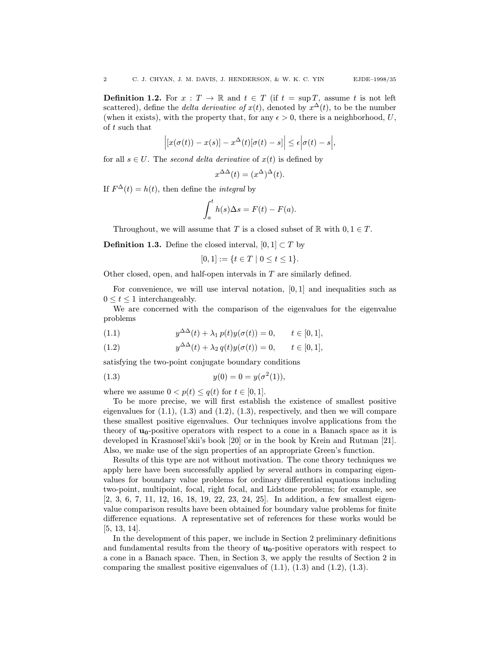**Definition 1.2.** For  $x : T \to \mathbb{R}$  and  $t \in T$  (if  $t = \sup T$ , assume t is not left scattered), define the *delta derivative of*  $x(t)$ , denoted by  $x^{\Delta}(t)$ , to be the number (when it exists), with the property that, for any  $\epsilon > 0$ , there is a neighborhood, U, of t such that

$$
\left| \left[ x(\sigma(t))-x(s) \right] - x^{\Delta}(t) [\sigma(t)-s] \right| \leq \epsilon \left| \sigma(t)-s \right|,
$$

for all  $s \in U$ . The second delta derivative of  $x(t)$  is defined by

$$
x^{\Delta\Delta}(t) = (x^{\Delta})^{\Delta}(t).
$$

If  $F^{\Delta}(t) = h(t)$ , then define the *integral* by

$$
\int_{a}^{t} h(s)\Delta s = F(t) - F(a).
$$

Throughout, we will assume that T is a closed subset of  $\mathbb R$  with  $0, 1 \in T$ .

**Definition 1.3.** Define the closed interval,  $[0, 1] \subset T$  by

$$
[0,1] := \{ t \in T \mid 0 \le t \le 1 \}.
$$

Other closed, open, and half-open intervals in T are similarly defined.

For convenience, we will use interval notation,  $[0, 1]$  and inequalities such as  $0 \leq t \leq 1$  interchangeably.

We are concerned with the comparison of the eigenvalues for the eigenvalue problems

(1.1) 
$$
y^{\Delta\Delta}(t) + \lambda_1 p(t)y(\sigma(t)) = 0, \quad t \in [0, 1],
$$

(1.2) 
$$
y^{\Delta\Delta}(t) + \lambda_2 q(t)y(\sigma(t)) = 0, \quad t \in [0, 1],
$$

satisfying the two-point conjugate boundary conditions

(1.3) 
$$
y(0) = 0 = y(\sigma^2(1)),
$$

where we assume  $0 < p(t) \leq q(t)$  for  $t \in [0, 1]$ .

To be more precise, we will first establish the existence of smallest positive eigenvalues for  $(1.1)$ ,  $(1.3)$  and  $(1.2)$ ,  $(1.3)$ , respectively, and then we will compare these smallest positive eigenvalues. Our techniques involve applications from the theory of  $u_0$ -positive operators with respect to a cone in a Banach space as it is developed in Krasnosel'skii's book [20] or in the book by Krein and Rutman [21]. Also, we make use of the sign properties of an appropriate Green's function.

Results of this type are not without motivation. The cone theory techniques we apply here have been successfully applied by several authors in comparing eigenvalues for boundary value problems for ordinary differential equations including two-point, multipoint, focal, right focal, and Lidstone problems; for example, see [2, 3, 6, 7, 11, 12, 16, 18, 19, 22, 23, 24, 25]. In addition, a few smallest eigenvalue comparison results have been obtained for boundary value problems for finite difference equations. A representative set of references for these works would be [5, 13, 14].

In the development of this paper, we include in Section 2 preliminary definitions and fundamental results from the theory of  $\mathbf{u}_0$ -positive operators with respect to a cone in a Banach space. Then, in Section 3, we apply the results of Section 2 in comparing the smallest positive eigenvalues of  $(1.1)$ ,  $(1.3)$  and  $(1.2)$ ,  $(1.3)$ .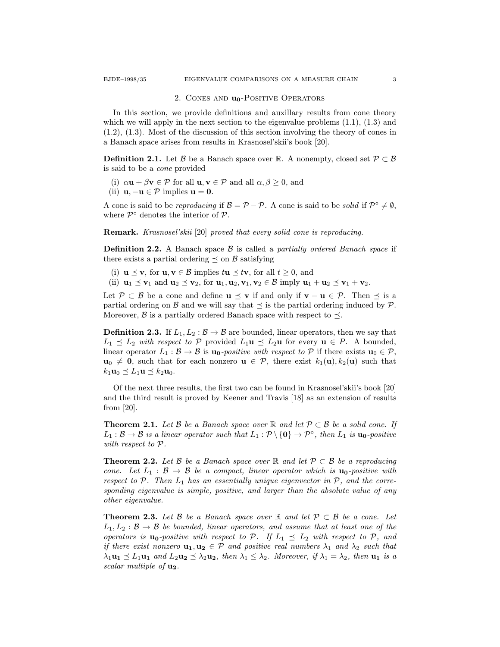2. CONES AND  $\mathbf{u}_0$ -POSITIVE OPERATORS

In this section, we provide definitions and auxillary results from cone theory which we will apply in the next section to the eigenvalue problems  $(1.1)$ ,  $(1.3)$  and (1.2), (1.3). Most of the discussion of this section involving the theory of cones in a Banach space arises from results in Krasnosel'skii's book [20].

**Definition 2.1.** Let B be a Banach space over R. A nonempty, closed set  $\mathcal{P} \subset \mathcal{B}$ is said to be a cone provided

- (i)  $\alpha \mathbf{u} + \beta \mathbf{v} \in \mathcal{P}$  for all  $\mathbf{u}, \mathbf{v} \in \mathcal{P}$  and all  $\alpha, \beta \geq 0$ , and
- (ii)  $\mathbf{u}, -\mathbf{u} \in \mathcal{P}$  implies  $\mathbf{u} = \mathbf{0}$ .

A cone is said to be reproducing if  $\mathcal{B} = \mathcal{P} - \mathcal{P}$ . A cone is said to be solid if  $\mathcal{P}^{\circ} \neq \emptyset$ , where  $\mathcal{P}^{\circ}$  denotes the interior of  $\mathcal{P}$ .

Remark. Krasnosel'skii [20] proved that every solid cone is reproducing.

**Definition 2.2.** A Banach space  $\beta$  is called a *partially ordered Banach space* if there exists a partial ordering  $\leq$  on B satisfying

- (i)  $\mathbf{u} \preceq \mathbf{v}$ , for  $\mathbf{u}, \mathbf{v} \in \mathcal{B}$  implies  $t\mathbf{u} \preceq t\mathbf{v}$ , for all  $t \geq 0$ , and
- (ii)  $\mathbf{u}_1 \preceq \mathbf{v}_1$  and  $\mathbf{u}_2 \preceq \mathbf{v}_2$ , for  $\mathbf{u}_1, \mathbf{u}_2, \mathbf{v}_1, \mathbf{v}_2 \in \mathcal{B}$  imply  $\mathbf{u}_1 + \mathbf{u}_2 \preceq \mathbf{v}_1 + \mathbf{v}_2$ .

Let  $\mathcal{P} \subset \mathcal{B}$  be a cone and define  $\mathbf{u} \preceq \mathbf{v}$  if and only if  $\mathbf{v} - \mathbf{u} \in \mathcal{P}$ . Then  $\preceq$  is a partial ordering on B and we will say that  $\preceq$  is the partial ordering induced by P. Moreover,  $\beta$  is a partially ordered Banach space with respect to  $\preceq$ .

**Definition 2.3.** If  $L_1, L_2 : \mathcal{B} \to \mathcal{B}$  are bounded, linear operators, then we say that  $L_1 \preceq L_2$  with respect to P provided  $L_1 \mathbf{u} \preceq L_2 \mathbf{u}$  for every  $\mathbf{u} \in P$ . A bounded, linear operator  $L_1 : \mathcal{B} \to \mathcal{B}$  is  $\mathbf{u}_0$ -positive with respect to  $\mathcal{P}$  if there exists  $\mathbf{u}_0 \in \mathcal{P}$ ,  $u_0 \neq 0$ , such that for each nonzero  $u \in \mathcal{P}$ , there exist  $k_1(u), k_2(u)$  such that  $k_1\mathbf{u}_0 \preceq L_1\mathbf{u} \preceq k_2\mathbf{u}_0.$ 

Of the next three results, the first two can be found in Krasnosel'skii's book [20] and the third result is proved by Keener and Travis [18] as an extension of results from [20].

**Theorem 2.1.** Let B be a Banach space over R and let  $\mathcal{P} \subset \mathcal{B}$  be a solid cone. If  $L_1 : \mathcal{B} \to \mathcal{B}$  is a linear operator such that  $L_1 : \mathcal{P} \setminus \{0\} \to \mathcal{P}^\circ$ , then  $L_1$  is  $\mathbf{u_0}\text{-}positive$ with respect to P.

**Theorem 2.2.** Let B be a Banach space over R and let  $\mathcal{P} \subset \mathcal{B}$  be a reproducing cone. Let  $L_1 : \mathcal{B} \to \mathcal{B}$  be a compact, linear operator which is  $\mathbf{u}_0$ -positive with respect to  $P$ . Then  $L_1$  has an essentially unique eigenvector in  $P$ , and the corresponding eigenvalue is simple, positive, and larger than the absolute value of any other eigenvalue.

**Theorem 2.3.** Let B be a Banach space over R and let  $\mathcal{P} \subset \mathcal{B}$  be a cone. Let  $L_1, L_2 : \mathcal{B} \to \mathcal{B}$  be bounded, linear operators, and assume that at least one of the operators is  $\mathbf{u}_0$ -positive with respect to P. If  $L_1 \preceq L_2$  with respect to P, and if there exist nonzero  $\mathbf{u}_1, \mathbf{u}_2 \in \mathcal{P}$  and positive real numbers  $\lambda_1$  and  $\lambda_2$  such that  $\lambda_1 \mathbf{u}_1 \preceq L_1 \mathbf{u}_1$  and  $L_2 \mathbf{u}_2 \preceq \lambda_2 \mathbf{u}_2$ , then  $\lambda_1 \leq \lambda_2$ . Moreover, if  $\lambda_1 = \lambda_2$ , then  $\mathbf{u}_1$  is a scalar multiple of  $\mathbf{u}_2$ .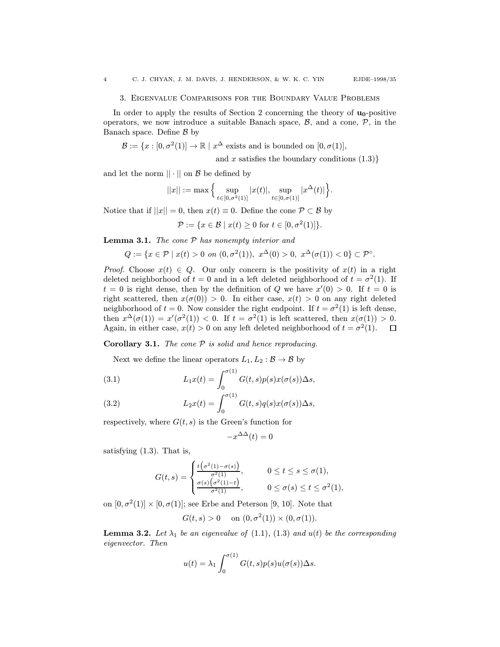### 3. Eigenvalue Comparisons for the Boundary Value Problems

In order to apply the results of Section 2 concerning the theory of  $\mathbf{u}_0$ -positive operators, we now introduce a suitable Banach space,  $\beta$ , and a cone,  $\mathcal{P}$ , in the Banach space. Define  $\beta$  by

$$
\mathcal{B} := \{x : [0, \sigma^2(1)] \to \mathbb{R} \mid x^{\Delta} \text{ exists and is bounded on } [0, \sigma(1)],
$$

and x satisfies the boundary conditions  $(1.3)$ }

and let the norm  $|| \cdot ||$  on  $\beta$  be defined by

$$
||x|| := \max \Big\{ \sup_{t \in [0,\sigma^2(1)]} |x(t)|, \sup_{t \in [0,\sigma(1)]} |x^{\Delta}(t)| \Big\}.
$$

Notice that if  $||x|| = 0$ , then  $x(t) \equiv 0$ . Define the cone  $P \subset \mathcal{B}$  by

$$
\mathcal{P} := \{x \in \mathcal{B} \mid x(t) \ge 0 \text{ for } t \in [0, \sigma^2(1)]\}.
$$

**Lemma 3.1.** The cone  $P$  has nonempty interior and

$$
Q := \{ x \in \mathcal{P} \mid x(t) > 0 \text{ on } (0, \sigma^2(1)), \ x^{\Delta}(0) > 0, \ x^{\Delta}(\sigma(1)) < 0 \} \subset \mathcal{P}^{\circ}.
$$

*Proof.* Choose  $x(t) \in Q$ . Our only concern is the positivity of  $x(t)$  in a right deleted neighborhood of  $t = 0$  and in a left deleted neighborhood of  $t = \sigma^2(1)$ . If  $t = 0$  is right dense, then by the definition of Q we have  $x'(0) > 0$ . If  $t = 0$  is right scattered, then  $x(\sigma(0)) > 0$ . In either case,  $x(t) > 0$  on any right deleted neighborhood of  $t = 0$ . Now consider the right endpoint. If  $t = \sigma^2(1)$  is left dense, then  $x^{\Delta}(\sigma(1)) = x'(\sigma^2(1)) < 0$ . If  $t = \sigma^2(1)$  is left scattered, then  $x(\sigma(1)) > 0$ . Again, in either case,  $x(t) > 0$  on any left deleted neighborhood of  $t = \sigma^2(1)$ .  $\Box$ 

**Corollary 3.1.** The cone  $P$  is solid and hence reproducing.

Next we define the linear operators  $L_1, L_2 : \mathcal{B} \to \mathcal{B}$  by

(3.1) 
$$
L_1x(t) = \int_0^{\sigma(1)} G(t,s)p(s)x(\sigma(s))\Delta s,
$$

(3.2) 
$$
L_2x(t) = \int_0^{\sigma(1)} G(t,s)q(s)x(\sigma(s))\Delta s,
$$

respectively, where  $G(t, s)$  is the Green's function for

$$
-x^{\Delta\Delta}(t) = 0
$$

satisfying (1.3). That is,

$$
G(t,s) = \begin{cases} \frac{t(\sigma^2(1)-\sigma(s))}{\sigma^2(1)}, & 0 \le t \le s \le \sigma(1), \\ \frac{\sigma(s)(\sigma^2(1)-t)}{\sigma^2(1)}, & 0 \le \sigma(s) \le t \le \sigma^2(1), \end{cases}
$$

on  $[0, \sigma^2(1)] \times [0, \sigma(1)]$ ; see Erbe and Peterson [9, 10]. Note that

$$
G(t,s) > 0
$$
 on  $(0, \sigma^2(1)) \times (0, \sigma(1))$ .

**Lemma 3.2.** Let  $\lambda_1$  be an eigenvalue of (1.1), (1.3) and  $u(t)$  be the corresponding eigenvector. Then

$$
u(t) = \lambda_1 \int_0^{\sigma(1)} G(t,s)p(s)u(\sigma(s))\Delta s.
$$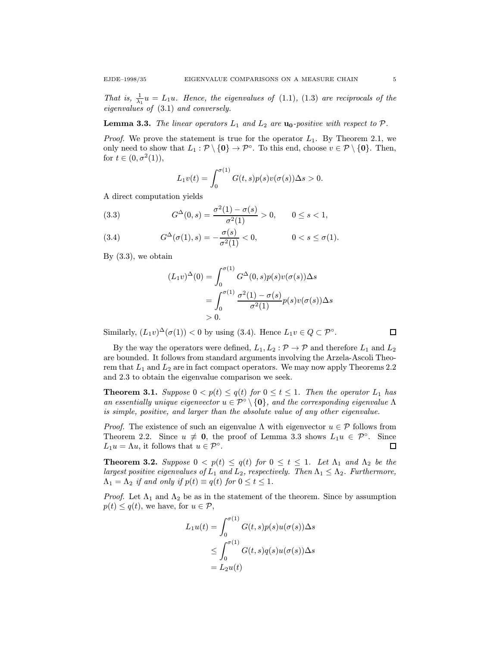That is,  $\frac{1}{\lambda_1}u = L_1u$ . Hence, the eigenvalues of (1.1), (1.3) are reciprocals of the eigenvalues of (3.1) and conversely.

**Lemma 3.3.** The linear operators  $L_1$  and  $L_2$  are  $\mathbf{u}_0$ -positive with respect to  $\mathcal{P}$ .

*Proof.* We prove the statement is true for the operator  $L_1$ . By Theorem 2.1, we only need to show that  $L_1 : \mathcal{P} \setminus \{0\} \to \mathcal{P}^\circ$ . To this end, choose  $v \in \mathcal{P} \setminus \{0\}$ . Then, for  $t \in (0, \sigma^2(1)),$ 

$$
L_1v(t) = \int_0^{\sigma(1)} G(t,s)p(s)v(\sigma(s))\Delta s > 0.
$$

A direct computation yields

(3.3) 
$$
G^{\Delta}(0,s) = \frac{\sigma^2(1) - \sigma(s)}{\sigma^2(1)} > 0, \qquad 0 \le s < 1,
$$

(3.4) 
$$
G^{\Delta}(\sigma(1), s) = -\frac{\sigma(s)}{\sigma^2(1)} < 0, \qquad 0 < s \le \sigma(1).
$$

By  $(3.3)$ , we obtain

$$
(L_1v)^{\Delta}(0) = \int_0^{\sigma(1)} G^{\Delta}(0, s) p(s) v(\sigma(s)) \Delta s
$$
  
= 
$$
\int_0^{\sigma(1)} \frac{\sigma^2(1) - \sigma(s)}{\sigma^2(1)} p(s) v(\sigma(s)) \Delta s
$$
  
> 0.

Similarly,  $(L_1v)^{\Delta}(\sigma(1)) < 0$  by using (3.4). Hence  $L_1v \in Q \subset \mathcal{P}^{\circ}$ .

By the way the operators were defined,  $L_1, L_2 : \mathcal{P} \to \mathcal{P}$  and therefore  $L_1$  and  $L_2$ are bounded. It follows from standard arguments involving the Arzela-Ascoli Theorem that  $L_1$  and  $L_2$  are in fact compact operators. We may now apply Theorems 2.2 and 2.3 to obtain the eigenvalue comparison we seek.

**Theorem 3.1.** Suppose  $0 < p(t) \leq q(t)$  for  $0 \leq t \leq 1$ . Then the operator  $L_1$  has an essentially unique eigenvector  $u \in \mathcal{P}^{\circ} \setminus \{\mathbf{0}\}\$ , and the corresponding eigenvalue  $\Lambda$ is simple, positive, and larger than the absolute value of any other eigenvalue.

*Proof.* The existence of such an eigenvalue  $\Lambda$  with eigenvector  $u \in \mathcal{P}$  follows from Theorem 2.2. Since  $u \neq 0$ , the proof of Lemma 3.3 shows  $L_1u \in \mathcal{P}^{\circ}$ . Since  $L_1u = \Lambda u$ , it follows that  $u \in \mathcal{P}^{\circ}$ .  $\Box$ 

**Theorem 3.2.** Suppose  $0 < p(t) \leq q(t)$  for  $0 \leq t \leq 1$ . Let  $\Lambda_1$  and  $\Lambda_2$  be the largest positive eigenvalues of  $L_1$  and  $L_2$ , respectively. Then  $\Lambda_1 \leq \Lambda_2$ . Furthermore,  $\Lambda_1 = \Lambda_2$  if and only if  $p(t) \equiv q(t)$  for  $0 \le t \le 1$ .

*Proof.* Let  $\Lambda_1$  and  $\Lambda_2$  be as in the statement of the theorem. Since by assumption  $p(t) \leq q(t)$ , we have, for  $u \in \mathcal{P}$ ,

$$
L_1u(t) = \int_0^{\sigma(1)} G(t,s)p(s)u(\sigma(s))\Delta s
$$
  
\n
$$
\leq \int_0^{\sigma(1)} G(t,s)q(s)u(\sigma(s))\Delta s
$$
  
\n
$$
= L_2u(t)
$$

 $\Box$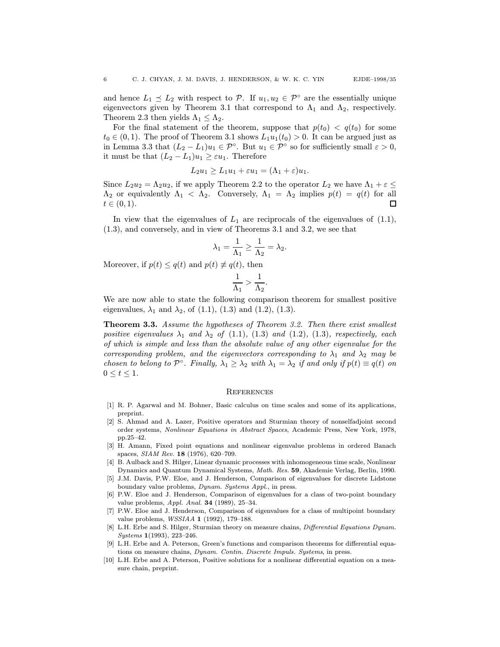and hence  $L_1 \preceq L_2$  with respect to P. If  $u_1, u_2 \in \mathcal{P}^{\circ}$  are the essentially unique eigenvectors given by Theorem 3.1 that correspond to  $\Lambda_1$  and  $\Lambda_2$ , respectively. Theorem 2.3 then yields  $\Lambda_1 \leq \Lambda_2$ .

For the final statement of the theorem, suppose that  $p(t_0) < q(t_0)$  for some  $t_0 \in (0, 1)$ . The proof of Theorem 3.1 shows  $L_1u_1(t_0) > 0$ . It can be argued just as in Lemma 3.3 that  $(L_2 - L_1)u_1 \in \mathcal{P}^{\circ}$ . But  $u_1 \in \mathcal{P}^{\circ}$  so for sufficiently small  $\varepsilon > 0$ , it must be that  $(L_2 - L_1)u_1 \geq \varepsilon u_1$ . Therefore

$$
L_2u_1 \ge L_1u_1 + \varepsilon u_1 = (\Lambda_1 + \varepsilon)u_1.
$$

Since  $L_2u_2 = \Lambda_2u_2$ , if we apply Theorem 2.2 to the operator  $L_2$  we have  $\Lambda_1 + \varepsilon \leq$  $\Lambda_2$  or equivalently  $\Lambda_1 < \Lambda_2$ . Conversely,  $\Lambda_1 = \Lambda_2$  implies  $p(t) = q(t)$  for all  $t \in (0, 1).$ П

In view that the eigenvalues of  $L_1$  are reciprocals of the eigenvalues of  $(1.1)$ , (1.3), and conversely, and in view of Theorems 3.1 and 3.2, we see that

$$
\lambda_1 = \frac{1}{\Lambda_1} \ge \frac{1}{\Lambda_2} = \lambda_2.
$$

Moreover, if  $p(t) \leq q(t)$  and  $p(t) \not\equiv q(t)$ , then

$$
\frac{1}{\Lambda_1} > \frac{1}{\Lambda_2}.
$$

We are now able to state the following comparison theorem for smallest positive eigenvalues,  $\lambda_1$  and  $\lambda_2$ , of (1.1), (1.3) and (1.2), (1.3).

Theorem 3.3. Assume the hypotheses of Theorem 3.2. Then there exist smallest positive eigenvalues  $\lambda_1$  and  $\lambda_2$  of (1.1), (1.3) and (1.2), (1.3), respectively, each of which is simple and less than the absolute value of any other eigenvalue for the corresponding problem, and the eigenvectors corresponding to  $\lambda_1$  and  $\lambda_2$  may be chosen to belong to  $\mathcal{P}^{\circ}$ . Finally,  $\lambda_1 \geq \lambda_2$  with  $\lambda_1 = \lambda_2$  if and only if  $p(t) \equiv q(t)$  on  $0 \leq t \leq 1$ .

#### **REFERENCES**

- [1] R. P. Agarwal and M. Bohner, Basic calculus on time scales and some of its applications, preprint.
- [2] S. Ahmad and A. Lazer, Positive operators and Sturmian theory of nonselfadjoint second order systems, Nonlinear Equations in Abstract Spaces, Academic Press, New York, 1978, pp.25–42.
- [3] H. Amann, Fixed point equations and nonlinear eigenvalue problems in ordered Banach spaces, SIAM Rev. 18 (1976), 620–709.
- [4] B. Aulback and S. Hilger, Linear dynamic processes with inhomogeneous time scale, Nonlinear Dynamics and Quantum Dynamical Systems, Math. Res. 59, Akademie Verlag, Berlin, 1990.
- [5] J.M. Davis, P.W. Eloe, and J. Henderson, Comparison of eigenvalues for discrete Lidstone boundary value problems, Dynam. Systems Appl., in press.
- [6] P.W. Eloe and J. Henderson, Comparison of eigenvalues for a class of two-point boundary value problems, Appl. Anal. 34 (1989), 25–34.
- [7] P.W. Eloe and J. Henderson, Comparison of eigenvalues for a class of multipoint boundary value problems, WSSIAA 1 (1992), 179–188.
- [8] L.H. Erbe and S. Hilger, Sturmian theory on measure chains, *Differential Equations Dynam.* Systems 1(1993), 223–246.
- [9] L.H. Erbe and A. Peterson, Green's functions and comparison theorems for differential equations on measure chains, Dynam. Contin. Discrete Impuls. Systems, in press.
- [10] L.H. Erbe and A. Peterson, Positive solutions for a nonlinear differential equation on a measure chain, preprint.